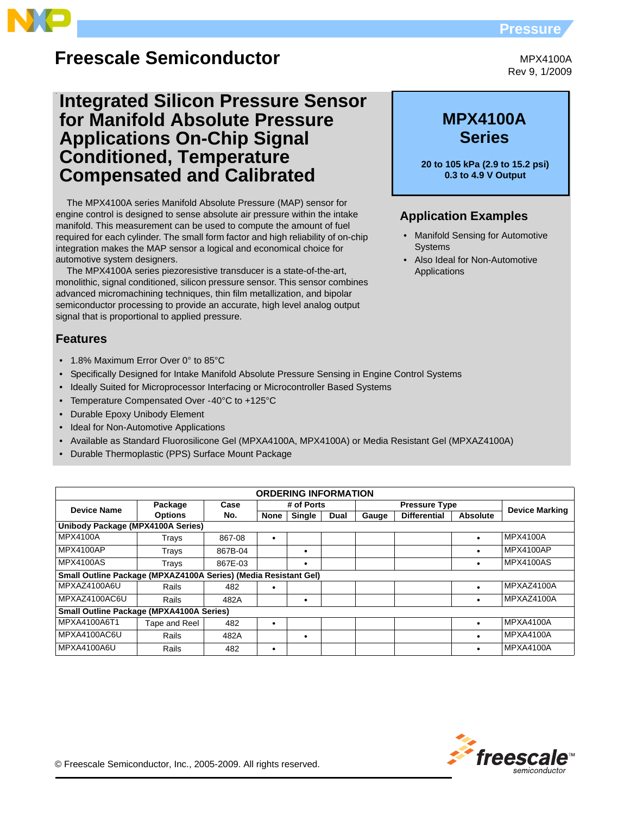## **Pressure**



# **Freescale Semiconductor**

# **Integrated Silicon Pressure Sensor for Manifold Absolute Pressure Applications On-Chip Signal Conditioned, Temperature Compensated and Calibrated**

The MPX4100A series Manifold Absolute Pressure (MAP) sensor for engine control is designed to sense absolute air pressure within the intake manifold. This measurement can be used to compute the amount of fuel required for each cylinder. The small form factor and high reliability of on-chip integration makes the MAP sensor a logical and economical choice for automotive system designers.

The MPX4100A series piezoresistive transducer is a state-of-the-art, monolithic, signal conditioned, silicon pressure sensor. This sensor combines advanced micromachining techniques, thin film metallization, and bipolar semiconductor processing to provide an accurate, high level analog output signal that is proportional to applied pressure.

## **Features**

- 1.8% Maximum Error Over 0° to 85°C
- Specifically Designed for Intake Manifold Absolute Pressure Sensing in Engine Control Systems
- Ideally Suited for Microprocessor Interfacing or Microcontroller Based Systems
- Temperature Compensated Over -40°C to +125°C
- Durable Epoxy Unibody Element
- **Ideal for Non-Automotive Applications**
- Available as Standard Fluorosilicone Gel (MPXA4100A, MPX4100A) or Media Resistant Gel (MPXAZ4100A)
- Durable Thermoplastic (PPS) Surface Mount Package

| <b>ORDERING INFORMATION</b>                                     |                 |         |             |               |             |                      |                     |           |                       |
|-----------------------------------------------------------------|-----------------|---------|-------------|---------------|-------------|----------------------|---------------------|-----------|-----------------------|
| <b>Device Name</b>                                              | Case<br>Package |         |             | # of Ports    |             | <b>Pressure Type</b> |                     |           | <b>Device Marking</b> |
|                                                                 | <b>Options</b>  | No.     | <b>None</b> | <b>Single</b> | <b>Dual</b> | Gauge                | <b>Differential</b> | Absolute  |                       |
| Unibody Package (MPX4100A Series)                               |                 |         |             |               |             |                      |                     |           |                       |
| MPX4100A                                                        | Trays           | 867-08  |             |               |             |                      |                     |           | MPX4100A              |
| MPX4100AP                                                       | Trays           | 867B-04 |             | ٠             |             |                      |                     | $\bullet$ | MPX4100AP             |
| <b>MPX4100AS</b>                                                | Trays           | 867E-03 |             |               |             |                      |                     |           | MPX4100AS             |
| Small Outline Package (MPXAZ4100A Series) (Media Resistant Gel) |                 |         |             |               |             |                      |                     |           |                       |
| MPXAZ4100A6U                                                    | Rails           | 482     |             |               |             |                      |                     |           | MPXAZ4100A            |
| MPXAZ4100AC6U                                                   | Rails           | 482A    |             | ٠             |             |                      |                     |           | MPXAZ4100A            |
| <b>Small Outline Package (MPXA4100A Series)</b>                 |                 |         |             |               |             |                      |                     |           |                       |
| MPXA4100A6T1                                                    | Tape and Reel   | 482     |             |               |             |                      |                     |           | <b>MPXA4100A</b>      |
| MPXA4100AC6U                                                    | Rails           | 482A    |             | ٠             |             |                      |                     | $\bullet$ | <b>MPXA4100A</b>      |
| MPXA4100A6U                                                     | Rails           | 482     |             |               |             |                      |                     | $\bullet$ | <b>MPXA4100A</b>      |



MPX4100A Rev 9, 1/2009

# **MPX4100A Series**

**20 to 105 kPa (2.9 to 15.2 psi) 0.3 to 4.9 V Output** 

## **Application Examples**

- Manifold Sensing for Automotive Systems
- Also Ideal for Non-Automotive Applications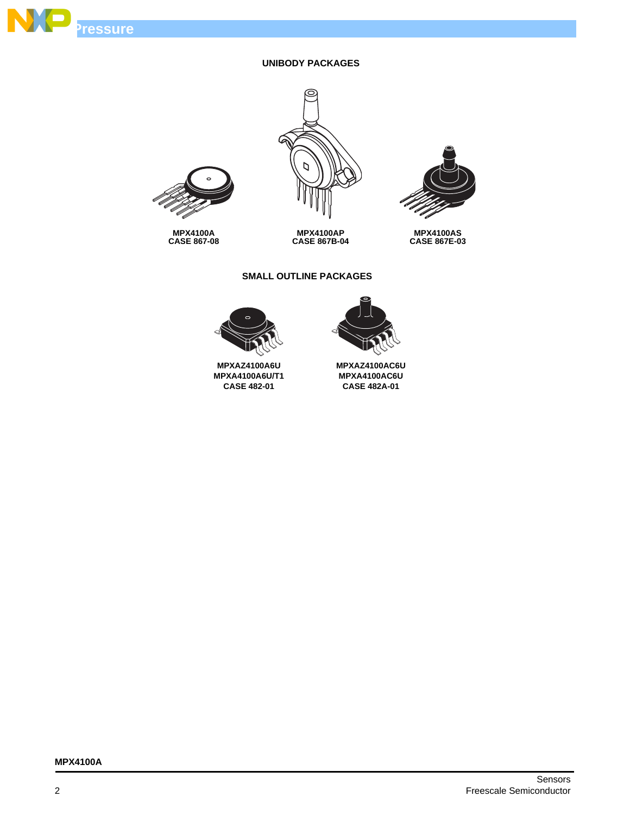

### **UNIBODY PACKAGES**



**MPX4100AP CASE 867B-04**



**MPX4100AS CASE 867E-03**



**MPX4100A CASE 867-08**

### **SMALL OUTLINE PACKAGES**



**MPXAZ4100AC6U MPXA4100AC6U CASE 482A-01**



**MPXAZ4100A6U MPXA4100A6U/T1 CASE 482-01**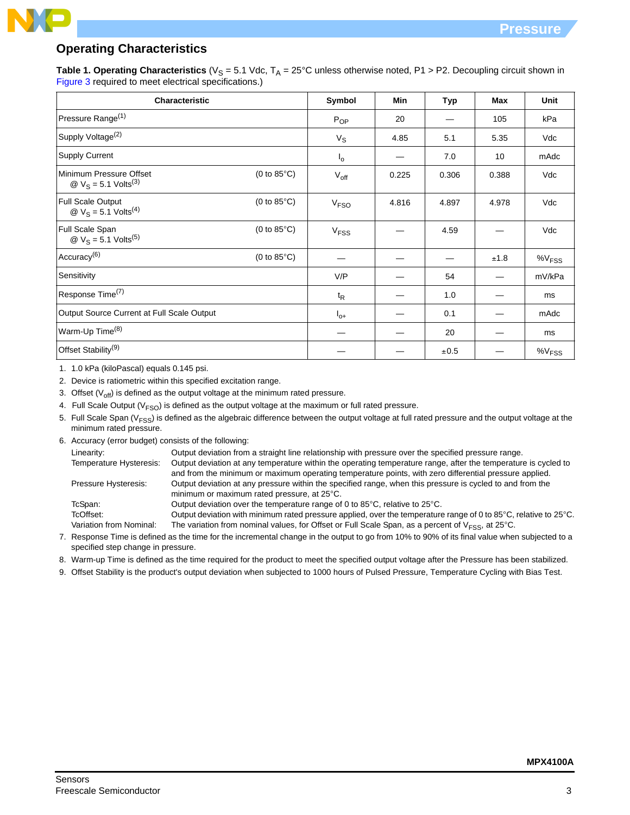## **Operating Characteristics**

**Table 1. Operating Characteristics** ( $V_S = 5.1$  Vdc,  $T_A = 25^{\circ}$ C unless otherwise noted, P1 > P2. Decoupling circuit shown in Figure 3 required to meet electrical specifications.)

| Characteristic                                                |                       | Symbol                 | <b>Min</b> | <b>Typ</b> | <b>Max</b> | <b>Unit</b>       |
|---------------------------------------------------------------|-----------------------|------------------------|------------|------------|------------|-------------------|
| Pressure Range <sup>(1)</sup>                                 |                       | $P_{OP}$               | 20         |            | 105        | kPa               |
| Supply Voltage <sup>(2)</sup>                                 |                       | $V_S$                  | 4.85       | 5.1        | 5.35       | Vdc               |
| <b>Supply Current</b>                                         |                       | l <sub>o</sub>         |            | 7.0        | 10         | mAdc              |
| Minimum Pressure Offset<br>@ $V_S = 5.1$ Volts <sup>(3)</sup> | (0 to $85^{\circ}$ C) | $V_{\text{off}}$       | 0.225      | 0.306      | 0.388      | Vdc               |
| Full Scale Output<br>@ $V_S = 5.1$ Volts <sup>(4)</sup>       | (0 to $85^{\circ}$ C) | V <sub>FSO</sub>       | 4.816      | 4.897      | 4.978      | Vdc               |
| Full Scale Span<br>@ $V_S = 5.1$ Volts <sup>(5)</sup>         | (0 to $85^{\circ}$ C) | <b>V<sub>FSS</sub></b> |            | 4.59       |            | Vdc               |
| Accuracy <sup>(6)</sup>                                       | $(0 to 85^{\circ}C)$  |                        |            |            | ±1.8       | %V <sub>FSS</sub> |
| Sensitivity                                                   |                       | V/P                    |            | 54         |            | mV/kPa            |
| Response Time <sup>(7)</sup>                                  |                       | $t_{\mathsf{R}}$       |            | 1.0        |            | ms                |
| Output Source Current at Full Scale Output                    |                       | $I_{0+}$               |            | 0.1        |            | mAdc              |
| Warm-Up Time <sup>(8)</sup>                                   |                       |                        |            | 20         |            | ms                |
| Offset Stability <sup>(9)</sup>                               |                       |                        |            | ±0.5       |            | %V <sub>FSS</sub> |

1. 1.0 kPa (kiloPascal) equals 0.145 psi.

2. Device is ratiometric within this specified excitation range.

3. Offset  $(V_{off})$  is defined as the output voltage at the minimum rated pressure.

- 4. Full Scale Output ( $V<sub>FSO</sub>$ ) is defined as the output voltage at the maximum or full rated pressure.
- 5. Full Scale Span ( $V<sub>FSS</sub>$ ) is defined as the algebraic difference between the output voltage at full rated pressure and the output voltage at the minimum rated pressure.

6. Accuracy (error budget) consists of the following:

| Linearity:              | Output deviation from a straight line relationship with pressure over the specified pressure range.                                                                                                                      |
|-------------------------|--------------------------------------------------------------------------------------------------------------------------------------------------------------------------------------------------------------------------|
| Temperature Hysteresis: | Output deviation at any temperature within the operating temperature range, after the temperature is cycled to<br>and from the minimum or maximum operating temperature points, with zero differential pressure applied. |
| Pressure Hysteresis:    | Output deviation at any pressure within the specified range, when this pressure is cycled to and from the<br>minimum or maximum rated pressure, at 25°C.                                                                 |
| TcSpan:                 | Output deviation over the temperature range of 0 to $85^{\circ}$ C, relative to $25^{\circ}$ C.                                                                                                                          |
| TcOffset:               | Output deviation with minimum rated pressure applied, over the temperature range of 0 to 85°C, relative to 25°C.                                                                                                         |
| Variation from Nominal: | The variation from nominal values, for Offset or Full Scale Span, as a percent of $V_{\text{ESS}}$ , at 25°C.                                                                                                            |

- 7. Response Time is defined as the time for the incremental change in the output to go from 10% to 90% of its final value when subjected to a specified step change in pressure.
- 8. Warm-up Time is defined as the time required for the product to meet the specified output voltage after the Pressure has been stabilized.
- 9. Offset Stability is the product's output deviation when subjected to 1000 hours of Pulsed Pressure, Temperature Cycling with Bias Test.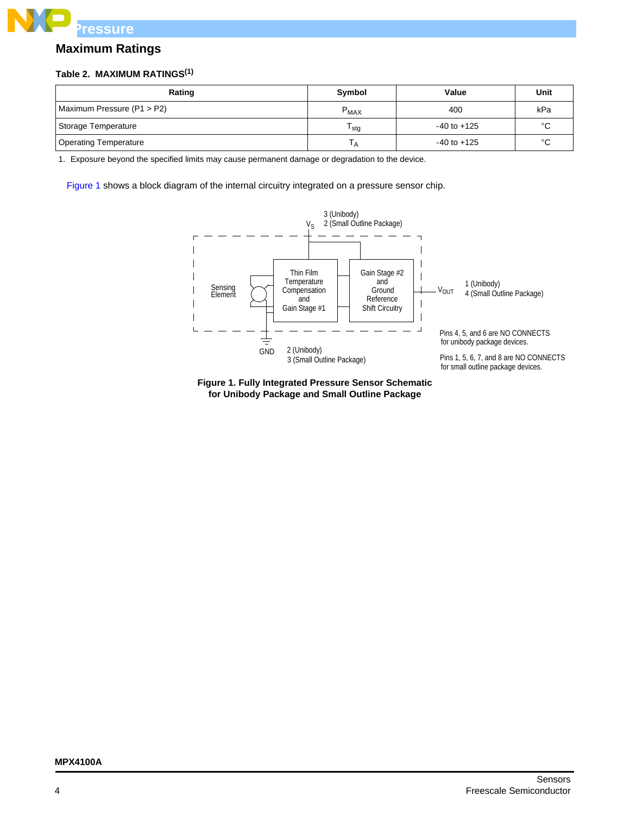

## **Maximum Ratings**

### **Table 2. MAXIMUM RATINGS(1)**

| Rating                       | Symbol           | Value           | Unit    |
|------------------------------|------------------|-----------------|---------|
| Maximum Pressure (P1 > P2)   | $P_{MAX}$        | 400             | kPa     |
| Storage Temperature          | <sup>I</sup> sta | $-40$ to $+125$ | $\circ$ |
| <b>Operating Temperature</b> |                  | $-40$ to $+125$ | $\circ$ |

1. Exposure beyond the specified limits may cause permanent damage or degradation to the device.

[Figure 1](#page-3-0) shows a block diagram of the internal circuitry integrated on a pressure sensor chip.



<span id="page-3-0"></span>**Figure 1. Fully Integrated Pressure Sensor Schematic for Unibody Package and Small Outline Package**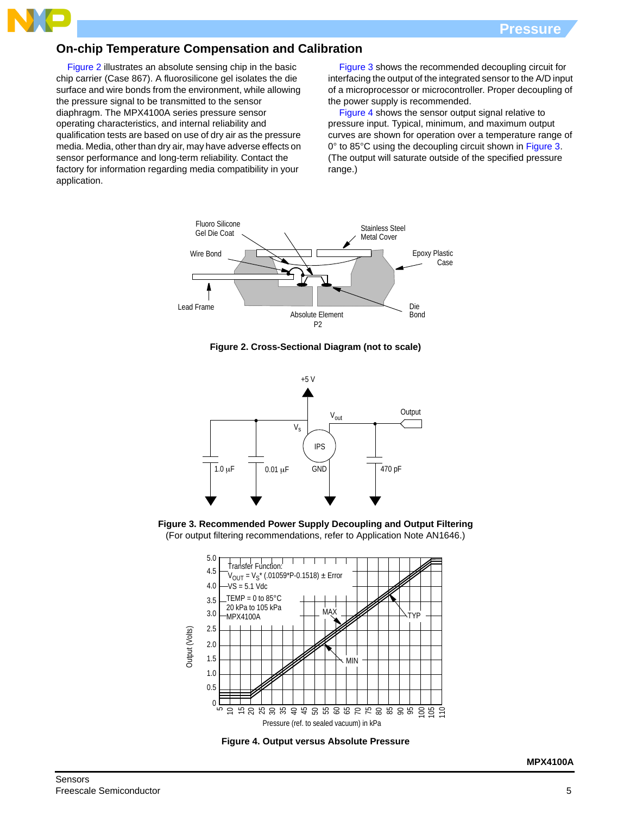## **On-chip Temperature Compensation and Calibration**

Figure 2 illustrates an absolute sensing chip in the basic chip carrier (Case 867). A fluorosilicone gel isolates the die surface and wire bonds from the environment, while allowing the pressure signal to be transmitted to the sensor diaphragm. The MPX4100A series pressure sensor operating characteristics, and internal reliability and qualification tests are based on use of dry air as the pressure media. Media, other than dry air, may have adverse effects on sensor performance and long-term reliability. Contact the factory for information regarding media compatibility in your application.

Figure 3 shows the recommended decoupling circuit for interfacing the output of the integrated sensor to the A/D input of a microprocessor or microcontroller. Proper decoupling of the power supply is recommended.

Figure 4 shows the sensor output signal relative to pressure input. Typical, minimum, and maximum output curves are shown for operation over a temperature range of 0° to 85°C using the decoupling circuit shown in Figure 3. (The output will saturate outside of the specified pressure range.)



**Figure 2. Cross-Sectional Diagram (not to scale)**



**Figure 3. Recommended Power Supply Decoupling and Output Filtering** (For output filtering recommendations, refer to Application Note AN1646.)



**Figure 4. Output versus Absolute Pressure**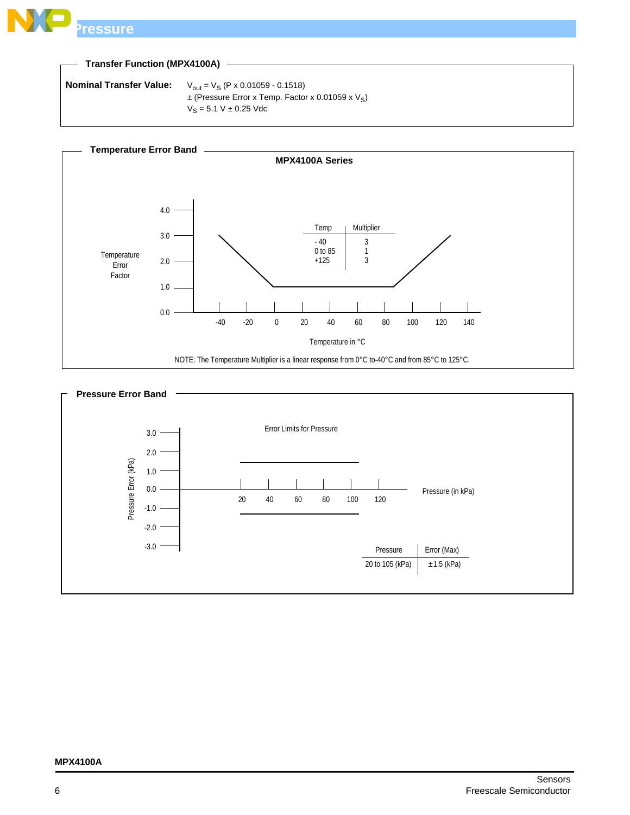

### **Transfer Function (MPX4100A)**

```
Nominal Transfer Value: V_{\text{out}} = V_S (P \times 0.01059 - 0.1518)\pm (Pressure Error x Temp. Factor x 0.01059 x V<sub>S</sub>)
                         V_S = 5.1 V \pm 0.25 Vdc
```


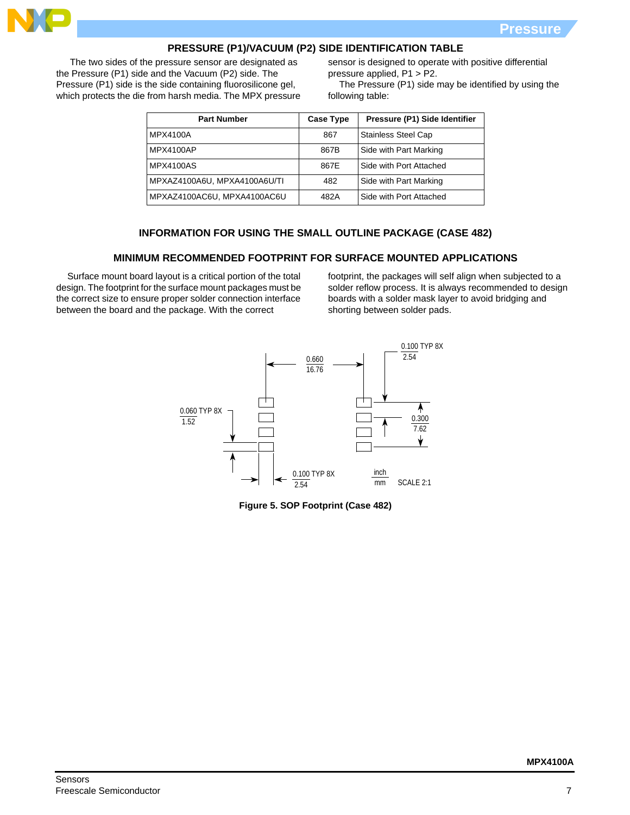

### **PRESSURE (P1)/VACUUM (P2) SIDE IDENTIFICATION TABLE**

 The two sides of the pressure sensor are designated as the Pressure (P1) side and the Vacuum (P2) side. The Pressure (P1) side is the side containing fluorosilicone gel, which protects the die from harsh media. The MPX pressure sensor is designed to operate with positive differential pressure applied, P1 > P2.

The Pressure (P1) side may be identified by using the following table:

| <b>Part Number</b>           | <b>Case Type</b> | Pressure (P1) Side Identifier |
|------------------------------|------------------|-------------------------------|
| MPX4100A                     | 867              | <b>Stainless Steel Cap</b>    |
| MPX4100AP                    | 867B             | Side with Part Marking        |
| <b>MPX4100AS</b>             | 867E             | Side with Port Attached       |
| MPXAZ4100A6U, MPXA4100A6U/TI | 482              | Side with Part Marking        |
| MPXAZ4100AC6U, MPXA4100AC6U  | 482A             | Side with Port Attached       |

#### **INFORMATION FOR USING THE SMALL OUTLINE PACKAGE (CASE 482)**

#### **MINIMUM RECOMMENDED FOOTPRINT FOR SURFACE MOUNTED APPLICATIONS**

Surface mount board layout is a critical portion of the total design. The footprint for the surface mount packages must be the correct size to ensure proper solder connection interface between the board and the package. With the correct

footprint, the packages will self align when subjected to a solder reflow process. It is always recommended to design boards with a solder mask layer to avoid bridging and shorting between solder pads.



**Figure 5. SOP Footprint (Case 482)**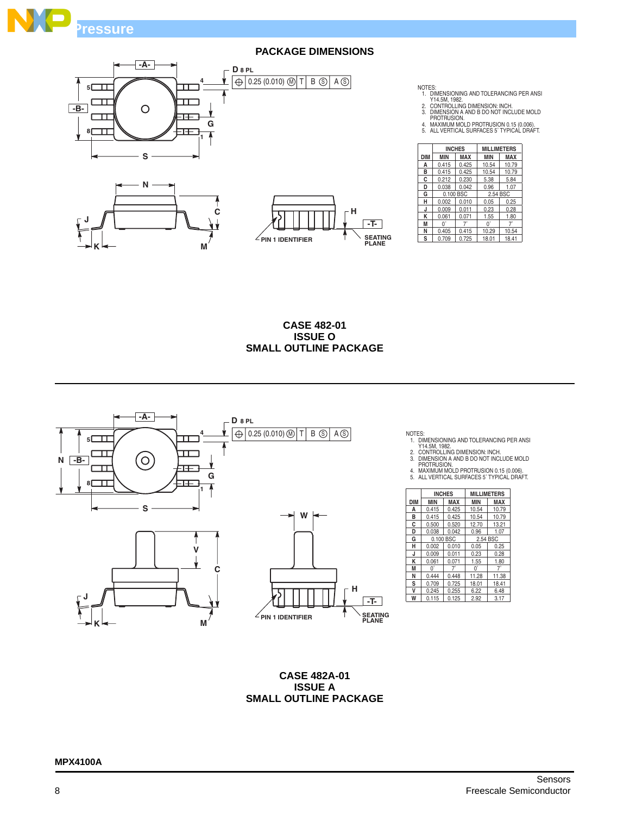







NOTES:<br>1. DIMENSIONING AND TOLERANCING PER ANSI<br>2. CONTROLLING DIMENSION: INCH.<br>3. DIMENSION A AND B DO NOT INCLUDE MOLD<br>PROTRUSION.<br>4. MAXIMUM MOLD PROTRUSION 0.15 (0.006).<br>5. ALL VERTICAL SURFACES 5`TYPICAL DRAFT.

|            |            | <b>INCHES</b> | <b>MILLIMETERS</b> |            |  |
|------------|------------|---------------|--------------------|------------|--|
| <b>DIM</b> | <b>MIN</b> | <b>MAX</b>    |                    | <b>MAX</b> |  |
| A          | 0.415      | 0.425         | 10.54              | 10.79      |  |
| в          | 0.415      | 0.425         | 10.54              | 10.79      |  |
| C          | 0.212      | 0.230         | 5.38               | 5.84       |  |
| D          | 0.038      | 0.042         | 0.96               | 1.07       |  |
| G          |            | 0.100 BSC     | 2.54 BSC           |            |  |
| н          | 0.002      | 0.010         | 0.05               | 0.25       |  |
| J          | 0.009      | 0.011         | 0.23               | 0.28       |  |
| κ          | 0.061      | 0.071         | 1.55               | 1.80       |  |
| M          | U.         | 71            | U,                 | 7'         |  |
| N          | 0.405      | 0.415         | 10.29              | 10.54      |  |
| S          | 0.709      | 0.725         | 18.01              | 18.41      |  |

**CASE 482-01 ISSUE O SMALL OUTLINE PACKAGE**



NOTES:<br>1. DIMENSIONING AND TOLERANCING PER ANSI<br>2. CONTROLLING DIMENSION: INCH.<br>3. DIMENSION A AND B DO NOT INCLUDE MOLD<br>PROTRUSION.<br>4. MAXIMUM MOLD PROTRUSION 0.15 (0.006).<br>5. ALL VERTICAL SURFACES 5`TYPICAL DRAFT.

|            |            | <b>INCHES</b> | <b>MILLIMETERS</b> |            |
|------------|------------|---------------|--------------------|------------|
| <b>DIM</b> | <b>MIN</b> | MAX           | <b>MIN</b>         | <b>MAX</b> |
| A          | 0.415      | 0.425         | 10.54              | 10.79      |
| в          | 0.415      | 0.425         | 10.54              | 10.79      |
| C          | 0.500      | 0.520         | 12.70              | 13.21      |
| D          | 0.038      | 0.042         | 0.96               | 1.07       |
| G          | 0.100 BSC  |               | 2.54 BSC           |            |
| н          | 0.002      | 0.010         | 0.05               | 0.25       |
| J          | 0.009      | 0.011         | 0.23               | 0.28       |
| κ          | 0.061      | 0.071         | 1.55               | 1.80       |
| M          | 0          | 7             | $0^{\circ}$        | 7.         |
| N          | 0.444      | 0.448         | 11.28              | 11.38      |
| S          | 0.709      | 0.725         | 18.01              | 18.41      |
| v          | 0.245      | 0.255         | 6.22               | 6.48       |
| W          | 0.115      | 0.125         | 2.92               | 3.17       |

**CASE 482A-01 ISSUE A SMALL OUTLINE PACKAGE**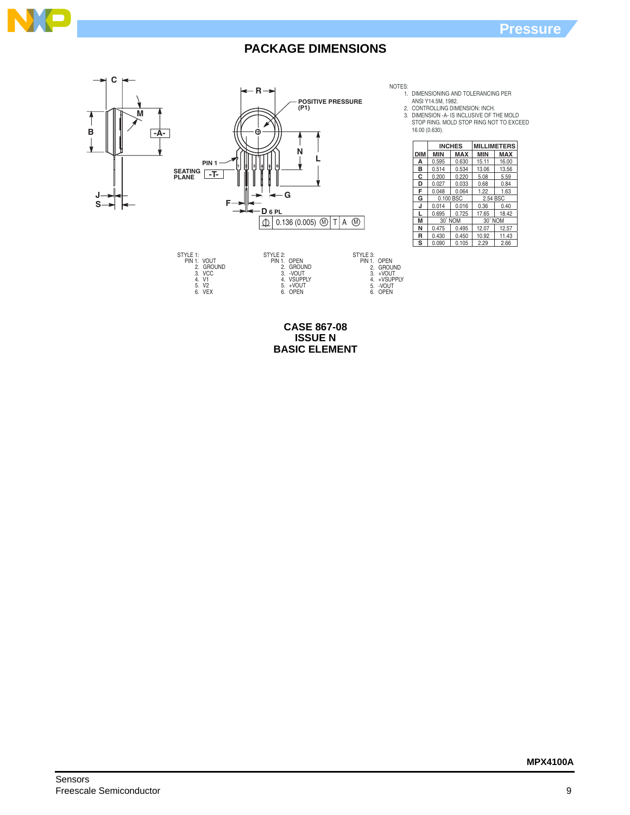



NOTES:

1.

2. 3. DIMENSIONING AND TOLERANCING PER<br>ANSI Y14.5M, 1982.<br>CONTROLLING DIMENSION: INCH.<br>DIMENSION -A- IS INCLUSIVE OF THE MOLD<br>STOP RING. MOLD STOP RING NOT TO EXCEED 16.00 (0.630).

|     |            | <b>INCHES</b> | <b>MILLIMETERS</b> |            |  |
|-----|------------|---------------|--------------------|------------|--|
| DIM | <b>MIN</b> | MAX           | <b>MIN</b>         | <b>MAX</b> |  |
| А   | 0.595      | 0.630         | 15.11              | 16.00      |  |
| в   | 0.514      | 0.534         | 13.06              | 13.56      |  |
| c   | 0.200      | 0.220         | 5.08               | 5.59       |  |
| D   | 0.027      | 0.033         | 0.68               | 0.84       |  |
| F   | 0.048      | 0.064         | 1.22               | 1.63       |  |
| G   | 0.100 BSC  |               | 2.54 BSC           |            |  |
| J   | 0.014      | 0.016         | 0.36               | 0.40       |  |
|     | 0.695      | 0.725         | 17.65              | 18.42      |  |
| M   | 30° NOM    |               | 30° NOM            |            |  |
| N   | 0.475      | 0.495         | 12.07              | 12.57      |  |
| R   | 0.430      | 0.450         | 10.92              | 11.43      |  |
| S   | 0.090      | 0.105         | 2.29               | 2.66       |  |

**CASE 867-08 ISSUE N BASIC ELEMENT**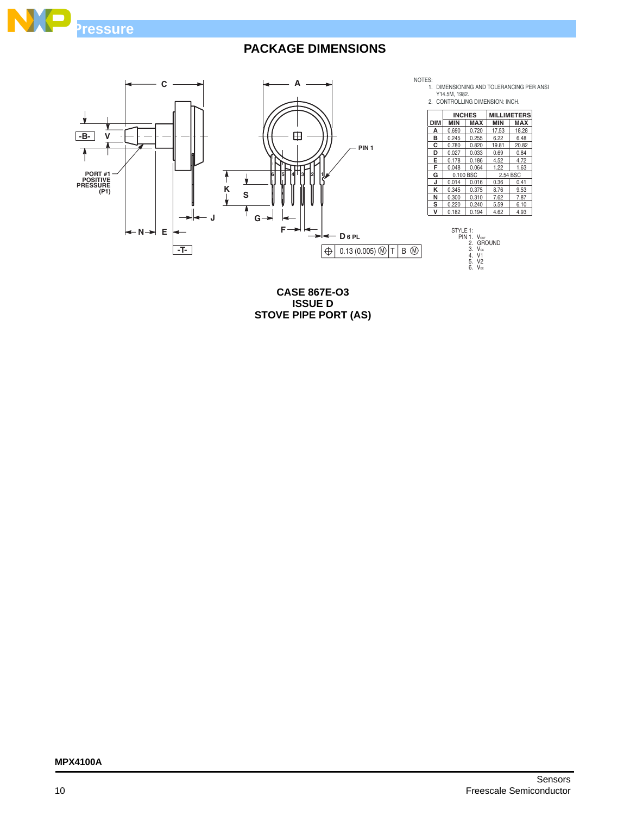



**CASE 867E-O3 ISSUE D STOVE PIPE PORT (AS)**

**MPX4100A**

**MILLIMETERS**

6.48 20.82 0.84 4.72 1.63

9.53

 $\frac{6.22}{19.81}$ 

0.255<br>0.820<br>0.033

2.54 BSC<br>0.36 0.41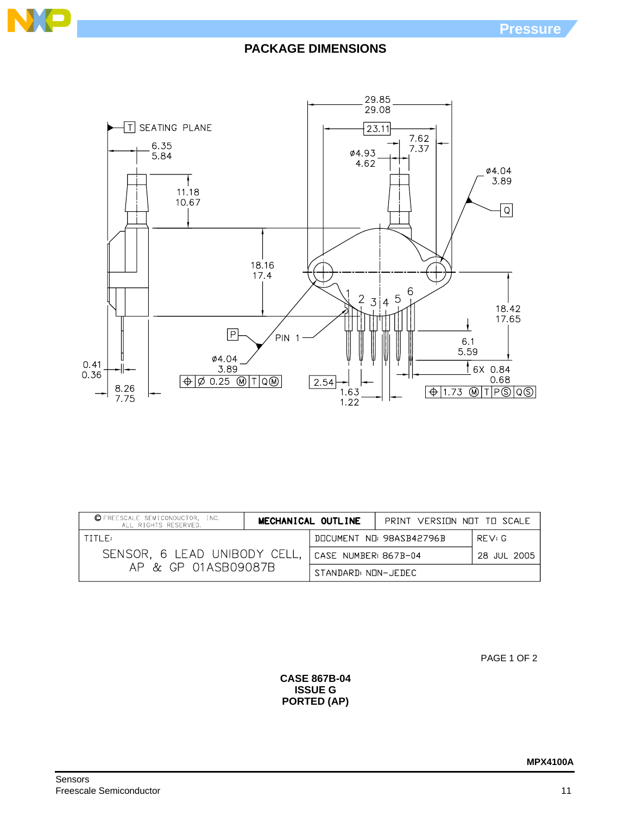



| C FREESCALE SEMICONDUCTOR, INC.<br>ALL RIGHTS RESERVED. |                      | MECHANICAL OUTLINE      | PRINT VERSINN NNT TH SCALE |  |
|---------------------------------------------------------|----------------------|-------------------------|----------------------------|--|
| TITI F:                                                 |                      | DOCUMENT NO 98ASB42796B | RFV:G                      |  |
| SENSOR, 6 LEAD UNIBODY CELL,                            | CASE NUMBER: 867B-04 |                         | 28 JUL 2005                |  |
| AP & GP 01ASB09087B                                     | STANDARD: NON-JEDEC  |                         |                            |  |

PAGE 1 OF 2

**CASE 867B-04 ISSUE G PORTED (AP)**

N

 $\blacksquare$ 

**MPX4100A**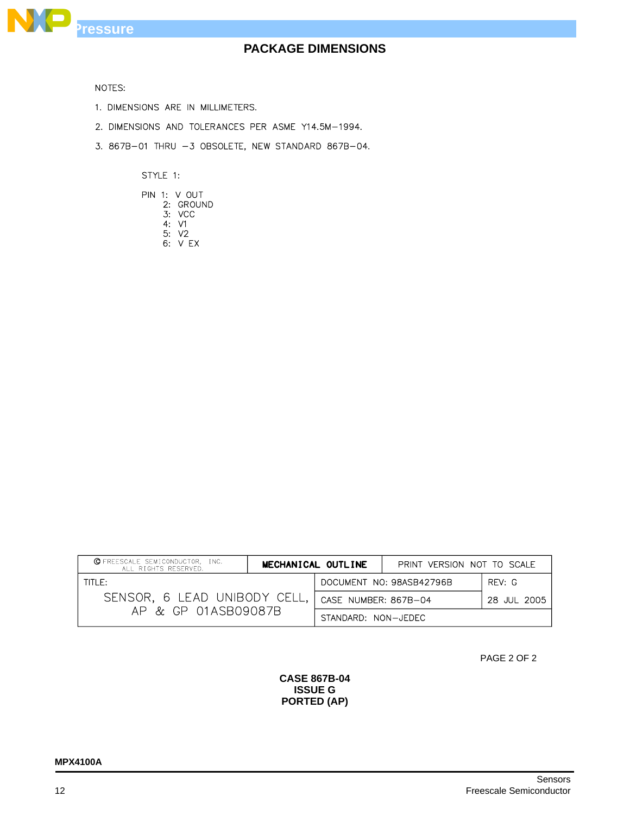

NOTES:

- 1. DIMENSIONS ARE IN MILLIMETERS.
- 2. DIMENSIONS AND TOLERANCES PER ASME Y14.5M-1994.
- 3. 867B-01 THRU -3 OBSOLETE, NEW STANDARD 867B-04.

STYLE 1:

|  | PIN 1: V OUT |
|--|--------------|
|  | 2: GROUND    |
|  | 3: VCC       |
|  | 4: V1        |
|  | 5:V2         |
|  | 6. VFX       |

| <b>OFREESCALE SEMICONDUCTOR, INC.</b><br>ALL RIGHTS RESERVED. | MECHANICAL OUTLINE                 |  | PRINT VERSION NOT TO SCALE |  |
|---------------------------------------------------------------|------------------------------------|--|----------------------------|--|
| TITIF:                                                        | DOCUMENT NO: 98ASB42796B<br>RFV: G |  |                            |  |
| SENSOR, 6 LEAD UNIBODY CELL,                                  | CASE NUMBER: 867B-04               |  | 28 JUL 2005                |  |
| AP & GP 01ASB09087B                                           | STANDARD: NON-JEDEC                |  |                            |  |

PAGE 2 OF 2

#### **CASE 867B-04 ISSUE G PORTED (AP)**